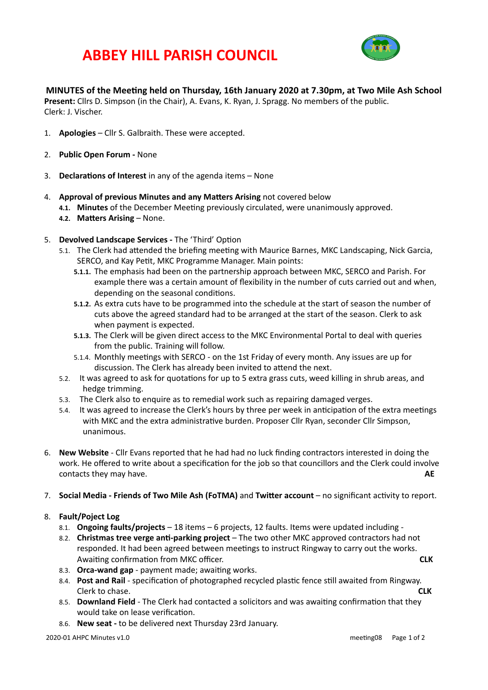## **ABBEY HILL PARISH COUNCIL**



#### **MINUTES** of the Meeting held on Thursday, 16th January 2020 at 7.30pm, at Two Mile Ash School

**Present:** Cllrs D. Simpson (in the Chair), A. Evans, K. Ryan, J. Spragg. No members of the public. Clerk: J. Vischer.

- 1. **Apologies** Cllr S. Galbraith. These were accepted.
- 2. **Public Open Forum None**
- 3. **Declarations of Interest** in any of the agenda items None
- 4. **Approval of previous Minutes and any Matters Arising** not covered below
	- 4.1. Minutes of the December Meeting previously circulated, were unanimously approved.
	- **4.2. Matters Arising None.**
- 5. **Devolved Landscape Services The 'Third' Option** 
	- 5.1. The Clerk had attended the briefing meeting with Maurice Barnes, MKC Landscaping, Nick Garcia, SERCO, and Kay Petit, MKC Programme Manager. Main points:
		- **5.1.1.** The emphasis had been on the partnership approach between MKC, SERCO and Parish. For example there was a certain amount of flexibility in the number of cuts carried out and when, depending on the seasonal conditions.
		- **5.1.2.** As extra cuts have to be programmed into the schedule at the start of season the number of cuts above the agreed standard had to be arranged at the start of the season. Clerk to ask when payment is expected.
		- 5.1.3. The Clerk will be given direct access to the MKC Environmental Portal to deal with queries from the public. Training will follow.
		- 5.1.4. Monthly meetings with SERCO on the 1st Friday of every month. Any issues are up for discussion. The Clerk has already been invited to attend the next.
	- 5.2. It was agreed to ask for quotations for up to 5 extra grass cuts, weed killing in shrub areas, and hedge trimming.
	- 5.3. The Clerk also to enquire as to remedial work such as repairing damaged verges.
	- 5.4. It was agreed to increase the Clerk's hours by three per week in anticipation of the extra meetings with MKC and the extra administrative burden. Proposer Cllr Ryan, seconder Cllr Simpson, unanimous.
- 6. **New Website** Cllr Evans reported that he had had no luck finding contractors interested in doing the work. He offered to write about a specification for the job so that councillors and the Clerk could involve contacts they may have. **ARE** and the solution of the solution of the solution of the solution of the solution of the solution of the solution of the solution of the solution of the solution of the solution of the solution
- 7. **Social Media Friends of Two Mile Ash (FoTMA)** and **Twitter account** no significant activity to report.

#### 8. **Fault/Poject Log**

- 8.1. **Ongoing faults/projects** 18 items 6 projects, 12 faults. Items were updated including -
- 8.2. **Christmas tree verge anti-parking project** The two other MKC approved contractors had not responded. It had been agreed between meetings to instruct Ringway to carry out the works. AwaiOng confirmaOon from MKC officer. **CLK**
- 8.3. **Orca-wand gap** payment made: awaiting works.
- 8.4. **Post and Rail** specification of photographed recycled plastic fence still awaited from Ringway. Clerk to chase. **CLK**
- 8.5. **Downland Field** The Clerk had contacted a solicitors and was awaiting confirmation that they would take on lease verification.
- 8.6. **New seat** to be delivered next Thursday 23rd January.